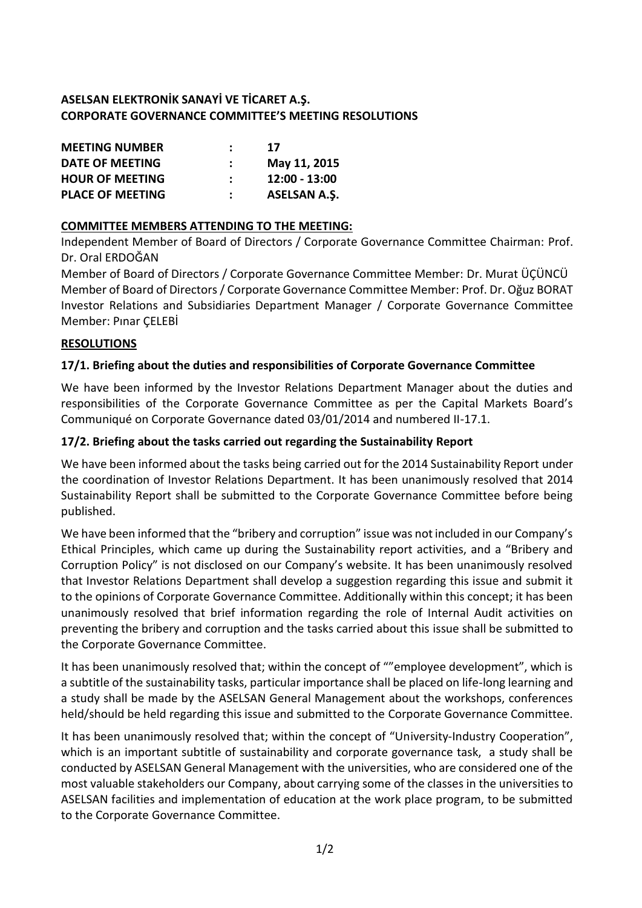# **ASELSAN ELEKTRONİK SANAYİ VE TİCARET A.Ş. CORPORATE GOVERNANCE COMMITTEE'S MEETING RESOLUTIONS**

| <b>MEETING NUMBER</b>   | 17                  |
|-------------------------|---------------------|
| DATE OF MEETING         | May 11, 2015        |
| <b>HOUR OF MEETING</b>  | $12:00 - 13:00$     |
| <b>PLACE OF MEETING</b> | <b>ASELSAN A.S.</b> |

# **COMMITTEE MEMBERS ATTENDING TO THE MEETING:**

Independent Member of Board of Directors / Corporate Governance Committee Chairman: Prof. Dr. Oral ERDOĞAN

Member of Board of Directors / Corporate Governance Committee Member: Dr. Murat ÜÇÜNCÜ Member of Board of Directors / Corporate Governance Committee Member: Prof. Dr. Oğuz BORAT Investor Relations and Subsidiaries Department Manager / Corporate Governance Committee Member: Pınar ÇELEBİ

#### **RESOLUTIONS**

# **17/1. Briefing about the duties and responsibilities of Corporate Governance Committee**

We have been informed by the Investor Relations Department Manager about the duties and responsibilities of the Corporate Governance Committee as per the Capital Markets Board's Communiqué on Corporate Governance dated 03/01/2014 and numbered II-17.1.

# **17/2. Briefing about the tasks carried out regarding the Sustainability Report**

We have been informed about the tasks being carried out for the 2014 Sustainability Report under the coordination of Investor Relations Department. It has been unanimously resolved that 2014 Sustainability Report shall be submitted to the Corporate Governance Committee before being published.

We have been informed that the "bribery and corruption" issue was not included in our Company's Ethical Principles, which came up during the Sustainability report activities, and a "Bribery and Corruption Policy" is not disclosed on our Company's website. It has been unanimously resolved that Investor Relations Department shall develop a suggestion regarding this issue and submit it to the opinions of Corporate Governance Committee. Additionally within this concept; it has been unanimously resolved that brief information regarding the role of Internal Audit activities on preventing the bribery and corruption and the tasks carried about this issue shall be submitted to the Corporate Governance Committee.

It has been unanimously resolved that; within the concept of ""employee development", which is a subtitle of the sustainability tasks, particular importance shall be placed on life-long learning and a study shall be made by the ASELSAN General Management about the workshops, conferences held/should be held regarding this issue and submitted to the Corporate Governance Committee.

It has been unanimously resolved that; within the concept of "University-Industry Cooperation", which is an important subtitle of sustainability and corporate governance task, a study shall be conducted by ASELSAN General Management with the universities, who are considered one of the most valuable stakeholders our Company, about carrying some of the classes in the universities to ASELSAN facilities and implementation of education at the work place program, to be submitted to the Corporate Governance Committee.